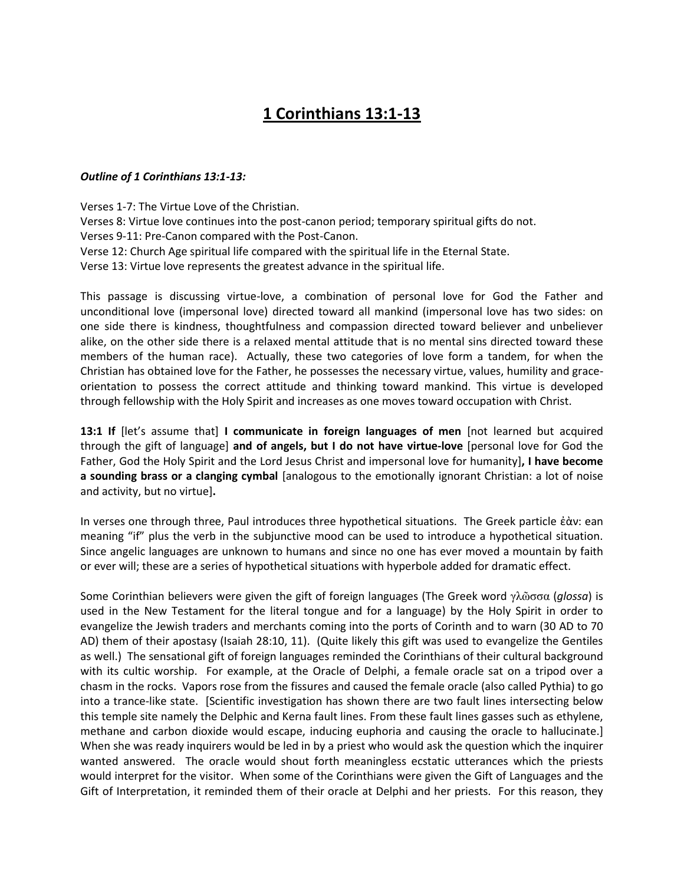## **1 Corinthians 13:1-13**

## *Outline of 1 Corinthians 13:1-13:*

Verses 1-7: The Virtue Love of the Christian. Verses 8: Virtue love continues into the post-canon period; temporary spiritual gifts do not. Verses 9-11: Pre-Canon compared with the Post-Canon. Verse 12: Church Age spiritual life compared with the spiritual life in the Eternal State. Verse 13: Virtue love represents the greatest advance in the spiritual life.

This passage is discussing virtue-love, a combination of personal love for God the Father and unconditional love (impersonal love) directed toward all mankind (impersonal love has two sides: on one side there is kindness, thoughtfulness and compassion directed toward believer and unbeliever alike, on the other side there is a relaxed mental attitude that is no mental sins directed toward these members of the human race). Actually, these two categories of love form a tandem, for when the Christian has obtained love for the Father, he possesses the necessary virtue, values, humility and graceorientation to possess the correct attitude and thinking toward mankind. This virtue is developed through fellowship with the Holy Spirit and increases as one moves toward occupation with Christ.

**13:1 If** [let's assume that] I communicate in foreign languages of men [not learned but acquired through the gift of language] **and of angels, but I do not have virtue-love** [personal love for God the Father, God the Holy Spirit and the Lord Jesus Christ and impersonal love for humanity]**, I have become a sounding brass or a clanging cymbal** [analogous to the emotionally ignorant Christian: a lot of noise and activity, but no virtue]**.**

In verses one through three, Paul introduces three hypothetical situations. The Greek particle ἐὰν: ean meaning "if" plus the verb in the subjunctive mood can be used to introduce a hypothetical situation. Since angelic languages are unknown to humans and since no one has ever moved a mountain by faith or ever will; these are a series of hypothetical situations with hyperbole added for dramatic effect.

Some Corinthian believers were given the gift of foreign languages (The Greek word γλῶσσα (*qlossa*) is used in the New Testament for the literal tongue and for a language) by the Holy Spirit in order to evangelize the Jewish traders and merchants coming into the ports of Corinth and to warn (30 AD to 70 AD) them of their apostasy (Isaiah 28:10, 11). (Quite likely this gift was used to evangelize the Gentiles as well.) The sensational gift of foreign languages reminded the Corinthians of their cultural background with its cultic worship. For example, at the Oracle of Delphi, a female oracle sat on a tripod over a chasm in the rocks. Vapors rose from the fissures and caused the female oracle (also called Pythia) to go into a trance-like state. [Scientific investigation has shown there are two fault lines intersecting below this temple site namely the Delphic and Kerna fault lines. From these fault lines gasses such as ethylene, methane and carbon dioxide would escape, inducing euphoria and causing the oracle to hallucinate.] When she was ready inquirers would be led in by a priest who would ask the question which the inquirer wanted answered. The oracle would shout forth meaningless ecstatic utterances which the priests would interpret for the visitor. When some of the Corinthians were given the Gift of Languages and the Gift of Interpretation, it reminded them of their oracle at Delphi and her priests. For this reason, they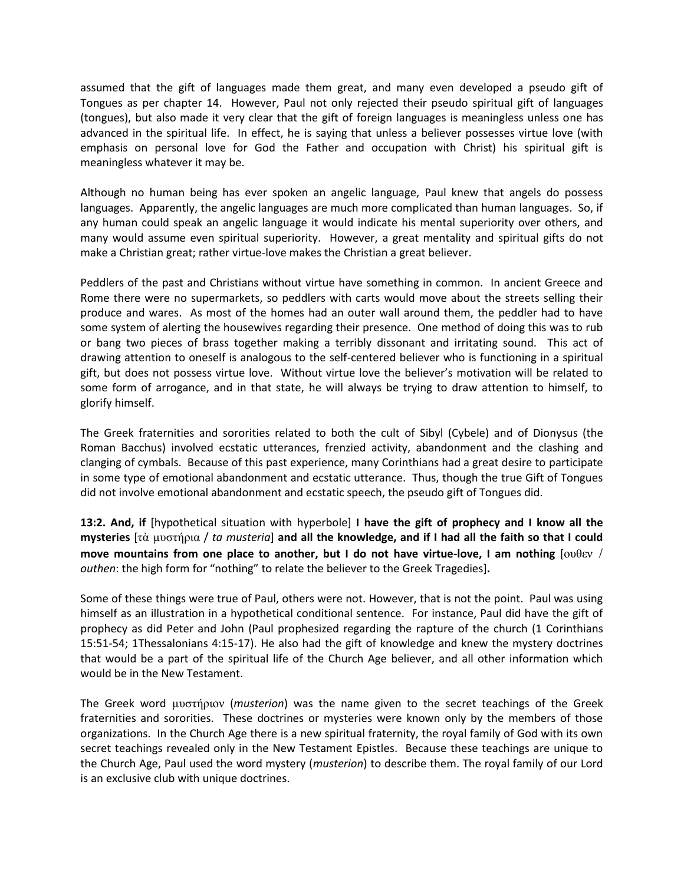assumed that the gift of languages made them great, and many even developed a pseudo gift of Tongues as per chapter 14. However, Paul not only rejected their pseudo spiritual gift of languages (tongues), but also made it very clear that the gift of foreign languages is meaningless unless one has advanced in the spiritual life. In effect, he is saying that unless a believer possesses virtue love (with emphasis on personal love for God the Father and occupation with Christ) his spiritual gift is meaningless whatever it may be.

Although no human being has ever spoken an angelic language, Paul knew that angels do possess languages. Apparently, the angelic languages are much more complicated than human languages. So, if any human could speak an angelic language it would indicate his mental superiority over others, and many would assume even spiritual superiority. However, a great mentality and spiritual gifts do not make a Christian great; rather virtue-love makes the Christian a great believer.

Peddlers of the past and Christians without virtue have something in common. In ancient Greece and Rome there were no supermarkets, so peddlers with carts would move about the streets selling their produce and wares. As most of the homes had an outer wall around them, the peddler had to have some system of alerting the housewives regarding their presence. One method of doing this was to rub or bang two pieces of brass together making a terribly dissonant and irritating sound. This act of drawing attention to oneself is analogous to the self-centered believer who is functioning in a spiritual gift, but does not possess virtue love. Without virtue love the believer's motivation will be related to some form of arrogance, and in that state, he will always be trying to draw attention to himself, to glorify himself.

The Greek fraternities and sororities related to both the cult of Sibyl (Cybele) and of Dionysus (the Roman Bacchus) involved ecstatic utterances, frenzied activity, abandonment and the clashing and clanging of cymbals. Because of this past experience, many Corinthians had a great desire to participate in some type of emotional abandonment and ecstatic utterance. Thus, though the true Gift of Tongues did not involve emotional abandonment and ecstatic speech, the pseudo gift of Tongues did.

**13:2. And, if** [hypothetical situation with hyperbole] **I have the gift of prophecy and I know all the mysteries** [ηὰ µυζηήρια / *ta musteria*] **and all the knowledge, and if I had all the faith so that I could move mountains from one place to another, but I do not have virtue-love, I am nothing** [ουθεν / *outhen*: the high form for "nothing" to relate the believer to the Greek Tragedies]**.** 

Some of these things were true of Paul, others were not. However, that is not the point. Paul was using himself as an illustration in a hypothetical conditional sentence. For instance, Paul did have the gift of prophecy as did Peter and John (Paul prophesized regarding the rapture of the church (1 Corinthians 15:51-54; 1Thessalonians 4:15-17). He also had the gift of knowledge and knew the mystery doctrines that would be a part of the spiritual life of the Church Age believer, and all other information which would be in the New Testament.

The Greek word µυζηήριον (*musterion*) was the name given to the secret teachings of the Greek fraternities and sororities. These doctrines or mysteries were known only by the members of those organizations. In the Church Age there is a new spiritual fraternity, the royal family of God with its own secret teachings revealed only in the New Testament Epistles. Because these teachings are unique to the Church Age, Paul used the word mystery (*musterion*) to describe them. The royal family of our Lord is an exclusive club with unique doctrines.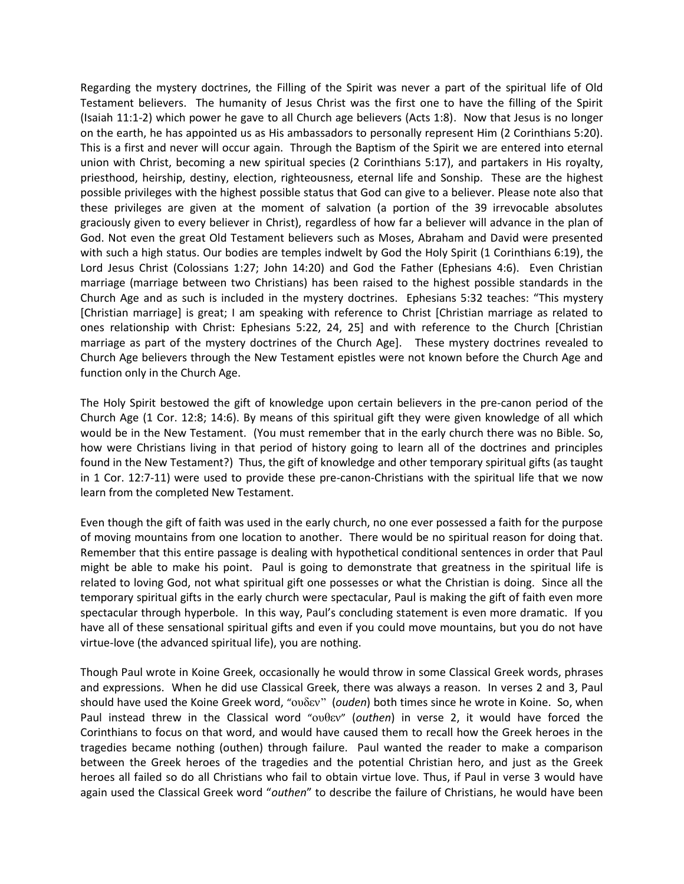Regarding the mystery doctrines, the Filling of the Spirit was never a part of the spiritual life of Old Testament believers. The humanity of Jesus Christ was the first one to have the filling of the Spirit (Isaiah 11:1-2) which power he gave to all Church age believers (Acts 1:8). Now that Jesus is no longer on the earth, he has appointed us as His ambassadors to personally represent Him (2 Corinthians 5:20). This is a first and never will occur again. Through the Baptism of the Spirit we are entered into eternal union with Christ, becoming a new spiritual species (2 Corinthians 5:17), and partakers in His royalty, priesthood, heirship, destiny, election, righteousness, eternal life and Sonship. These are the highest possible privileges with the highest possible status that God can give to a believer. Please note also that these privileges are given at the moment of salvation (a portion of the 39 irrevocable absolutes graciously given to every believer in Christ), regardless of how far a believer will advance in the plan of God. Not even the great Old Testament believers such as Moses, Abraham and David were presented with such a high status. Our bodies are temples indwelt by God the Holy Spirit (1 Corinthians 6:19), the Lord Jesus Christ (Colossians 1:27; John 14:20) and God the Father (Ephesians 4:6). Even Christian marriage (marriage between two Christians) has been raised to the highest possible standards in the Church Age and as such is included in the mystery doctrines. Ephesians 5:32 teaches: "This mystery [Christian marriage] is great; I am speaking with reference to Christ [Christian marriage as related to ones relationship with Christ: Ephesians 5:22, 24, 25] and with reference to the Church [Christian marriage as part of the mystery doctrines of the Church Age]. These mystery doctrines revealed to Church Age believers through the New Testament epistles were not known before the Church Age and function only in the Church Age.

The Holy Spirit bestowed the gift of knowledge upon certain believers in the pre-canon period of the Church Age (1 Cor. 12:8; 14:6). By means of this spiritual gift they were given knowledge of all which would be in the New Testament. (You must remember that in the early church there was no Bible. So, how were Christians living in that period of history going to learn all of the doctrines and principles found in the New Testament?) Thus, the gift of knowledge and other temporary spiritual gifts (as taught in 1 Cor. 12:7-11) were used to provide these pre-canon-Christians with the spiritual life that we now learn from the completed New Testament.

Even though the gift of faith was used in the early church, no one ever possessed a faith for the purpose of moving mountains from one location to another. There would be no spiritual reason for doing that. Remember that this entire passage is dealing with hypothetical conditional sentences in order that Paul might be able to make his point. Paul is going to demonstrate that greatness in the spiritual life is related to loving God, not what spiritual gift one possesses or what the Christian is doing. Since all the temporary spiritual gifts in the early church were spectacular, Paul is making the gift of faith even more spectacular through hyperbole. In this way, Paul's concluding statement is even more dramatic. If you have all of these sensational spiritual gifts and even if you could move mountains, but you do not have virtue-love (the advanced spiritual life), you are nothing.

Though Paul wrote in Koine Greek, occasionally he would throw in some Classical Greek words, phrases and expressions. When he did use Classical Greek, there was always a reason. In verses 2 and 3, Paul should have used the Koine Greek word, "ουδεν" (*ouden*) both times since he wrote in Koine. So, when Paul instead threw in the Classical word "ουθεν" (*outhen*) in verse 2, it would have forced the Corinthians to focus on that word, and would have caused them to recall how the Greek heroes in the tragedies became nothing (outhen) through failure. Paul wanted the reader to make a comparison between the Greek heroes of the tragedies and the potential Christian hero, and just as the Greek heroes all failed so do all Christians who fail to obtain virtue love. Thus, if Paul in verse 3 would have again used the Classical Greek word "*outhen*" to describe the failure of Christians, he would have been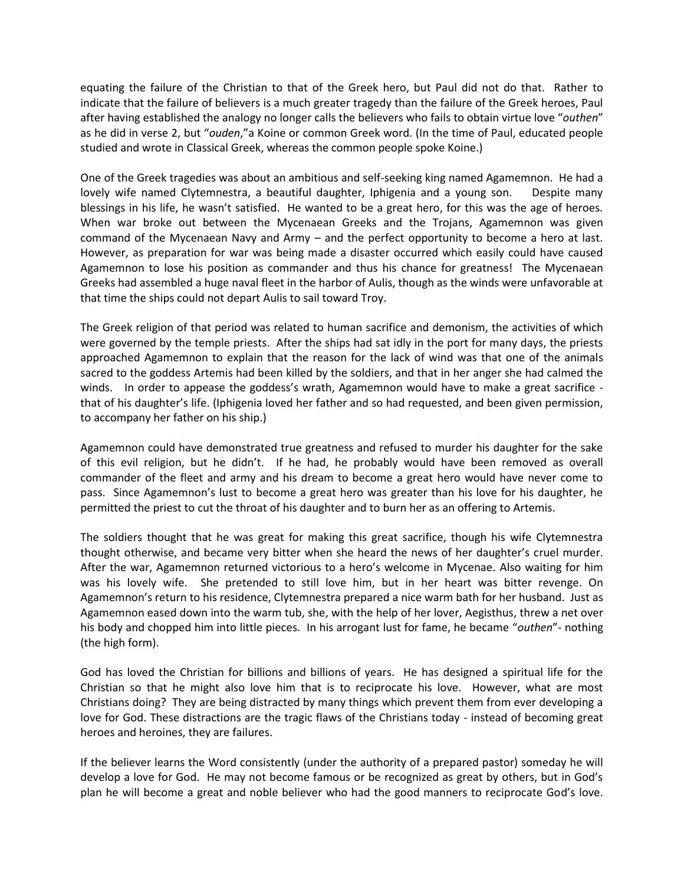equating the failure of the Christian to that of the Greek hero, but Paul did not do that. Rather to indicate that the failure of believers is a much greater tragedy than the failure of the Greek heroes, Paul after having established the analogy no longer calls the believers who fails to obtain virtue love "*outhen*" as he did in verse 2, but "*ouden*,"a Koine or common Greek word. (In the time of Paul, educated people studied and wrote in Classical Greek, whereas the common people spoke Koine.)

One of the Greek tragedies was about an ambitious and self-seeking king named Agamemnon. He had a lovely wife named Clytemnestra, a beautiful daughter, Iphigenia and a young son. Despite many blessings in his life, he wasn't satisfied. He wanted to be a great hero, for this was the age of heroes. When war broke out between the Mycenaean Greeks and the Trojans, Agamemnon was given command of the Mycenaean Navy and Army – and the perfect opportunity to become a hero at last. However, as preparation for war was being made a disaster occurred which easily could have caused Agamemnon to lose his position as commander and thus his chance for greatness! The Mycenaean Greeks had assembled a huge naval fleet in the harbor of Aulis, though as the winds were unfavorable at that time the ships could not depart Aulis to sail toward Troy.

The Greek religion of that period was related to human sacrifice and demonism, the activities of which were governed by the temple priests. After the ships had sat idly in the port for many days, the priests approached Agamemnon to explain that the reason for the lack of wind was that one of the animals sacred to the goddess Artemis had been killed by the soldiers, and that in her anger she had calmed the winds. In order to appease the goddess's wrath, Agamemnon would have to make a great sacrifice that of his daughter's life. (Iphigenia loved her father and so had requested, and been given permission, to accompany her father on his ship.)

Agamemnon could have demonstrated true greatness and refused to murder his daughter for the sake of this evil religion, but he didn't. If he had, he probably would have been removed as overall commander of the fleet and army and his dream to become a great hero would have never come to pass. Since Agamemnon's lust to become a great hero was greater than his love for his daughter, he permitted the priest to cut the throat of his daughter and to burn her as an offering to Artemis.

The soldiers thought that he was great for making this great sacrifice, though his wife Clytemnestra thought otherwise, and became very bitter when she heard the news of her daughter's cruel murder. After the war, Agamemnon returned victorious to a hero's welcome in Mycenae. Also waiting for him was his lovely wife. She pretended to still love him, but in her heart was bitter revenge. On Agamemnon's return to his residence, Clytemnestra prepared a nice warm bath for her husband. Just as Agamemnon eased down into the warm tub, she, with the help of her lover, Aegisthus, threw a net over his body and chopped him into little pieces. In his arrogant lust for fame, he became "*outhen*"- nothing (the high form).

God has loved the Christian for billions and billions of years. He has designed a spiritual life for the Christian so that he might also love him that is to reciprocate his love. However, what are most Christians doing? They are being distracted by many things which prevent them from ever developing a love for God. These distractions are the tragic flaws of the Christians today - instead of becoming great heroes and heroines, they are failures.

If the believer learns the Word consistently (under the authority of a prepared pastor) someday he will develop a love for God. He may not become famous or be recognized as great by others, but in God's plan he will become a great and noble believer who had the good manners to reciprocate God's love.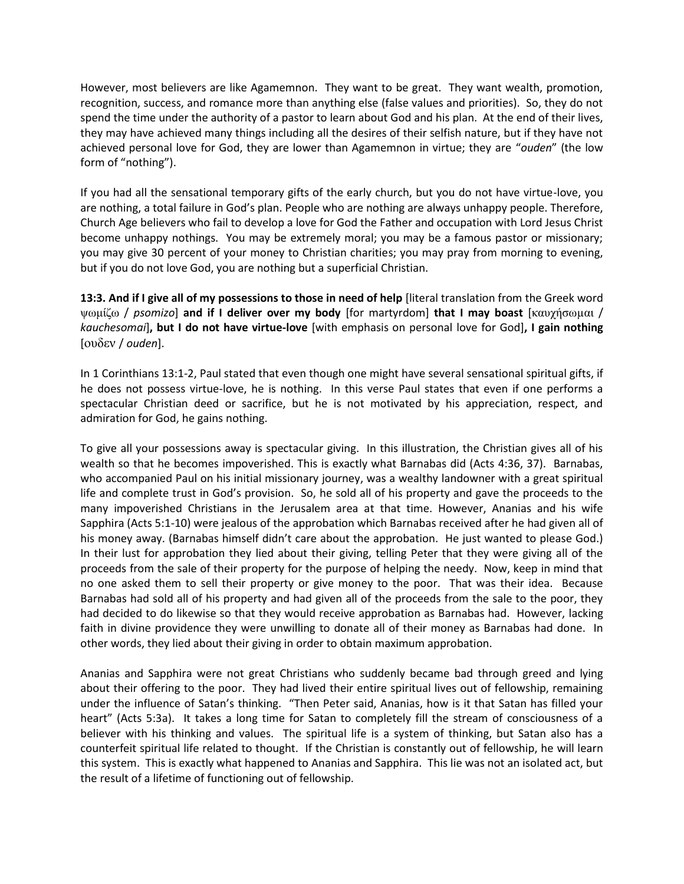However, most believers are like Agamemnon. They want to be great. They want wealth, promotion, recognition, success, and romance more than anything else (false values and priorities). So, they do not spend the time under the authority of a pastor to learn about God and his plan. At the end of their lives, they may have achieved many things including all the desires of their selfish nature, but if they have not achieved personal love for God, they are lower than Agamemnon in virtue; they are "*ouden*" (the low form of "nothing").

If you had all the sensational temporary gifts of the early church, but you do not have virtue-love, you are nothing, a total failure in God's plan. People who are nothing are always unhappy people. Therefore, Church Age believers who fail to develop a love for God the Father and occupation with Lord Jesus Christ become unhappy nothings. You may be extremely moral; you may be a famous pastor or missionary; you may give 30 percent of your money to Christian charities; you may pray from morning to evening, but if you do not love God, you are nothing but a superficial Christian.

**13:3. And if I give all of my possessions to those in need of help** [literal translation from the Greek word μ / *psomizo*] **and if I deliver over my body** [for martyrdom] **that I may boast** [καυχήζ µαι / *kauchesomai*]**, but I do not have virtue-love** [with emphasis on personal love for God]**, I gain nothing**  [ουδεν / *ouden*].

In 1 Corinthians 13:1-2, Paul stated that even though one might have several sensational spiritual gifts, if he does not possess virtue-love, he is nothing. In this verse Paul states that even if one performs a spectacular Christian deed or sacrifice, but he is not motivated by his appreciation, respect, and admiration for God, he gains nothing.

To give all your possessions away is spectacular giving. In this illustration, the Christian gives all of his wealth so that he becomes impoverished. This is exactly what Barnabas did (Acts 4:36, 37). Barnabas, who accompanied Paul on his initial missionary journey, was a wealthy landowner with a great spiritual life and complete trust in God's provision. So, he sold all of his property and gave the proceeds to the many impoverished Christians in the Jerusalem area at that time. However, Ananias and his wife Sapphira (Acts 5:1-10) were jealous of the approbation which Barnabas received after he had given all of his money away. (Barnabas himself didn't care about the approbation. He just wanted to please God.) In their lust for approbation they lied about their giving, telling Peter that they were giving all of the proceeds from the sale of their property for the purpose of helping the needy. Now, keep in mind that no one asked them to sell their property or give money to the poor. That was their idea. Because Barnabas had sold all of his property and had given all of the proceeds from the sale to the poor, they had decided to do likewise so that they would receive approbation as Barnabas had. However, lacking faith in divine providence they were unwilling to donate all of their money as Barnabas had done. In other words, they lied about their giving in order to obtain maximum approbation.

Ananias and Sapphira were not great Christians who suddenly became bad through greed and lying about their offering to the poor. They had lived their entire spiritual lives out of fellowship, remaining under the influence of Satan's thinking. "Then Peter said, Ananias, how is it that Satan has filled your heart" (Acts 5:3a). It takes a long time for Satan to completely fill the stream of consciousness of a believer with his thinking and values. The spiritual life is a system of thinking, but Satan also has a counterfeit spiritual life related to thought. If the Christian is constantly out of fellowship, he will learn this system. This is exactly what happened to Ananias and Sapphira. This lie was not an isolated act, but the result of a lifetime of functioning out of fellowship.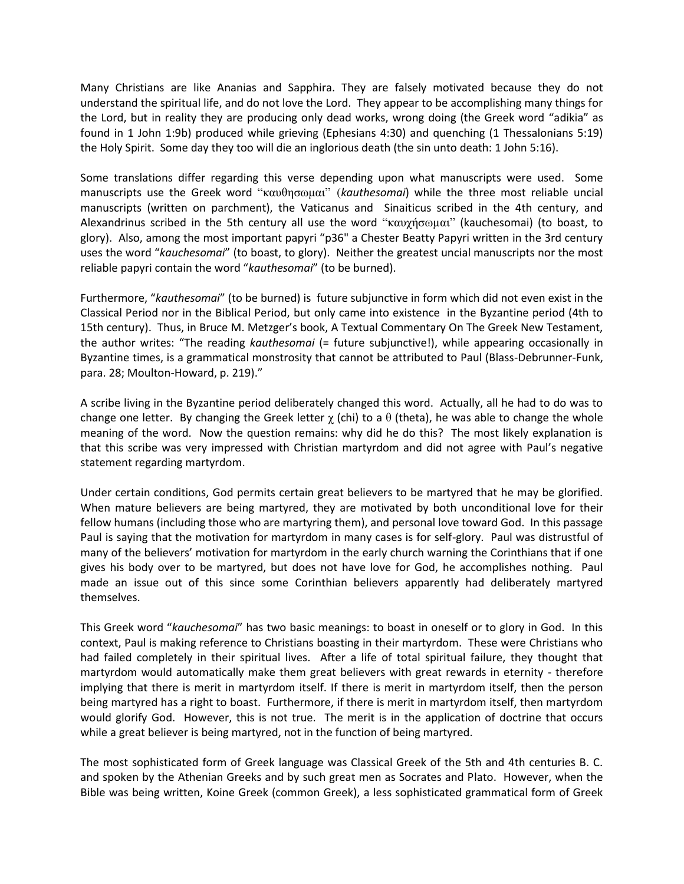Many Christians are like Ananias and Sapphira. They are falsely motivated because they do not understand the spiritual life, and do not love the Lord. They appear to be accomplishing many things for the Lord, but in reality they are producing only dead works, wrong doing (the Greek word "adikia" as found in 1 John 1:9b) produced while grieving (Ephesians 4:30) and quenching (1 Thessalonians 5:19) the Holy Spirit. Some day they too will die an inglorious death (the sin unto death: 1 John 5:16).

Some translations differ regarding this verse depending upon what manuscripts were used. Some manuscripts use the Greek word "καυθηζ μαι" (*kauthesomai*) while the three most reliable uncial manuscripts (written on parchment), the Vaticanus and Sinaiticus scribed in the 4th century, and Alexandrinus scribed in the 5th century all use the word "καυχήσωμαι" (kauchesomai) (to boast, to glory). Also, among the most important papyri "p36" a Chester Beatty Papyri written in the 3rd century uses the word "*kauchesomai*" (to boast, to glory). Neither the greatest uncial manuscripts nor the most reliable papyri contain the word "*kauthesomai*" (to be burned).

Furthermore, "*kauthesomai*" (to be burned) is future subjunctive in form which did not even exist in the Classical Period nor in the Biblical Period, but only came into existence in the Byzantine period (4th to 15th century). Thus, in Bruce M. Metzger's book, A Textual Commentary On The Greek New Testament, the author writes: "The reading *kauthesomai* (= future subjunctive!), while appearing occasionally in Byzantine times, is a grammatical monstrosity that cannot be attributed to Paul (Blass-Debrunner-Funk, para. 28; Moulton-Howard, p. 219)."

A scribe living in the Byzantine period deliberately changed this word. Actually, all he had to do was to change one letter. By changing the Greek letter  $\chi$  (chi) to a  $\theta$  (theta), he was able to change the whole meaning of the word. Now the question remains: why did he do this? The most likely explanation is that this scribe was very impressed with Christian martyrdom and did not agree with Paul's negative statement regarding martyrdom.

Under certain conditions, God permits certain great believers to be martyred that he may be glorified. When mature believers are being martyred, they are motivated by both unconditional love for their fellow humans (including those who are martyring them), and personal love toward God. In this passage Paul is saying that the motivation for martyrdom in many cases is for self-glory. Paul was distrustful of many of the believers' motivation for martyrdom in the early church warning the Corinthians that if one gives his body over to be martyred, but does not have love for God, he accomplishes nothing. Paul made an issue out of this since some Corinthian believers apparently had deliberately martyred themselves.

This Greek word "*kauchesomai*" has two basic meanings: to boast in oneself or to glory in God. In this context, Paul is making reference to Christians boasting in their martyrdom. These were Christians who had failed completely in their spiritual lives. After a life of total spiritual failure, they thought that martyrdom would automatically make them great believers with great rewards in eternity - therefore implying that there is merit in martyrdom itself. If there is merit in martyrdom itself, then the person being martyred has a right to boast. Furthermore, if there is merit in martyrdom itself, then martyrdom would glorify God. However, this is not true. The merit is in the application of doctrine that occurs while a great believer is being martyred, not in the function of being martyred.

The most sophisticated form of Greek language was Classical Greek of the 5th and 4th centuries B. C. and spoken by the Athenian Greeks and by such great men as Socrates and Plato. However, when the Bible was being written, Koine Greek (common Greek), a less sophisticated grammatical form of Greek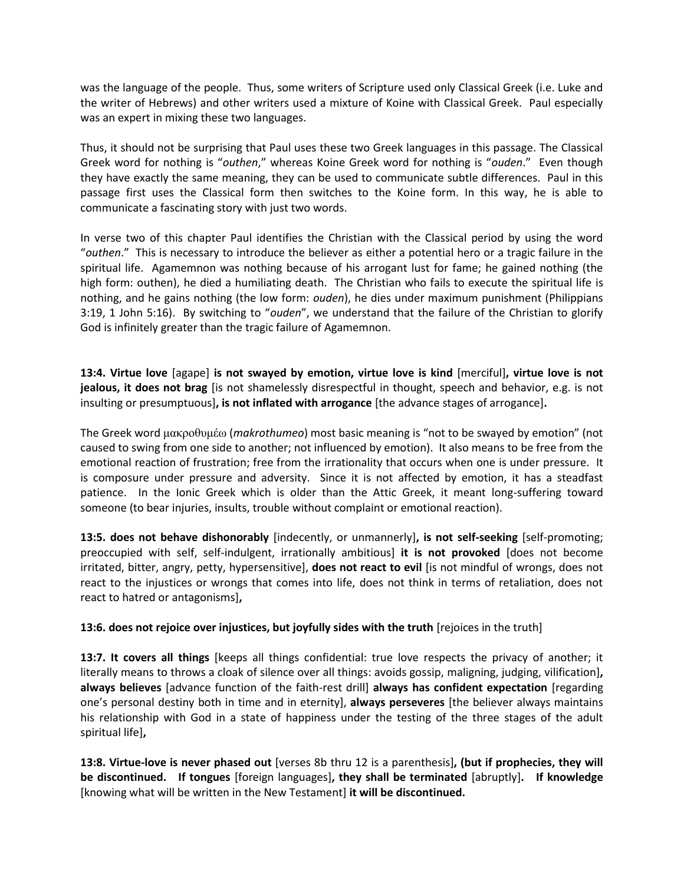was the language of the people. Thus, some writers of Scripture used only Classical Greek (i.e. Luke and the writer of Hebrews) and other writers used a mixture of Koine with Classical Greek. Paul especially was an expert in mixing these two languages.

Thus, it should not be surprising that Paul uses these two Greek languages in this passage. The Classical Greek word for nothing is "*outhen*," whereas Koine Greek word for nothing is "*ouden*." Even though they have exactly the same meaning, they can be used to communicate subtle differences. Paul in this passage first uses the Classical form then switches to the Koine form. In this way, he is able to communicate a fascinating story with just two words.

In verse two of this chapter Paul identifies the Christian with the Classical period by using the word "*outhen*." This is necessary to introduce the believer as either a potential hero or a tragic failure in the spiritual life. Agamemnon was nothing because of his arrogant lust for fame; he gained nothing (the high form: outhen), he died a humiliating death. The Christian who fails to execute the spiritual life is nothing, and he gains nothing (the low form: *ouden*), he dies under maximum punishment (Philippians 3:19, 1 John 5:16). By switching to "*ouden*", we understand that the failure of the Christian to glorify God is infinitely greater than the tragic failure of Agamemnon.

**13:4. Virtue love** [agape] **is not swayed by emotion, virtue love is kind** [merciful]**, virtue love is not jealous, it does not brag** [is not shamelessly disrespectful in thought, speech and behavior, e.g. is not insulting or presumptuous]**, is not inflated with arrogance** [the advance stages of arrogance]**.**

The Greek word μακροθυμέω (*makrothumeo*) most basic meaning is "not to be swayed by emotion" (not caused to swing from one side to another; not influenced by emotion). It also means to be free from the emotional reaction of frustration; free from the irrationality that occurs when one is under pressure. It is composure under pressure and adversity. Since it is not affected by emotion, it has a steadfast patience. In the Ionic Greek which is older than the Attic Greek, it meant long-suffering toward someone (to bear injuries, insults, trouble without complaint or emotional reaction).

**13:5. does not behave dishonorably** [indecently, or unmannerly]**, is not self-seeking** [self-promoting; preoccupied with self, self-indulgent, irrationally ambitious] **it is not provoked** [does not become irritated, bitter, angry, petty, hypersensitive], **does not react to evil** [is not mindful of wrongs, does not react to the injustices or wrongs that comes into life, does not think in terms of retaliation, does not react to hatred or antagonisms]**,**

**13:6. does not rejoice over injustices, but joyfully sides with the truth** [rejoices in the truth]

**13:7. It covers all things** [keeps all things confidential: true love respects the privacy of another; it literally means to throws a cloak of silence over all things: avoids gossip, maligning, judging, vilification]**, always believes** [advance function of the faith-rest drill] **always has confident expectation** [regarding one's personal destiny both in time and in eternity], **always perseveres** [the believer always maintains his relationship with God in a state of happiness under the testing of the three stages of the adult spiritual life]**,** 

**13:8. Virtue-love is never phased out** [verses 8b thru 12 is a parenthesis]**, (but if prophecies, they will be discontinued. If tongues** [foreign languages]**, they shall be terminated** [abruptly]**. If knowledge**  [knowing what will be written in the New Testament] **it will be discontinued.**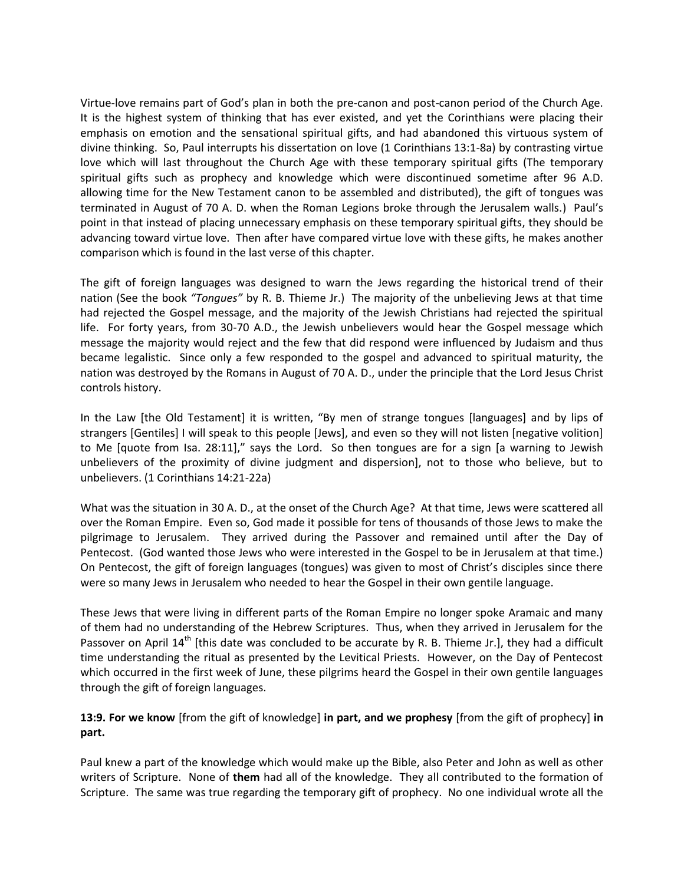Virtue-love remains part of God's plan in both the pre-canon and post-canon period of the Church Age. It is the highest system of thinking that has ever existed, and yet the Corinthians were placing their emphasis on emotion and the sensational spiritual gifts, and had abandoned this virtuous system of divine thinking. So, Paul interrupts his dissertation on love (1 Corinthians 13:1-8a) by contrasting virtue love which will last throughout the Church Age with these temporary spiritual gifts (The temporary spiritual gifts such as prophecy and knowledge which were discontinued sometime after 96 A.D. allowing time for the New Testament canon to be assembled and distributed), the gift of tongues was terminated in August of 70 A. D. when the Roman Legions broke through the Jerusalem walls.) Paul's point in that instead of placing unnecessary emphasis on these temporary spiritual gifts, they should be advancing toward virtue love. Then after have compared virtue love with these gifts, he makes another comparison which is found in the last verse of this chapter.

The gift of foreign languages was designed to warn the Jews regarding the historical trend of their nation (See the book *"Tongues"* by R. B. Thieme Jr.) The majority of the unbelieving Jews at that time had rejected the Gospel message, and the majority of the Jewish Christians had rejected the spiritual life. For forty years, from 30-70 A.D., the Jewish unbelievers would hear the Gospel message which message the majority would reject and the few that did respond were influenced by Judaism and thus became legalistic. Since only a few responded to the gospel and advanced to spiritual maturity, the nation was destroyed by the Romans in August of 70 A. D., under the principle that the Lord Jesus Christ controls history.

In the Law (the Old Testament) it is written, "By men of strange tongues (languages) and by lips of strangers [Gentiles] I will speak to this people [Jews], and even so they will not listen [negative volition] to Me [quote from Isa. 28:11]," says the Lord. So then tongues are for a sign [a warning to Jewish unbelievers of the proximity of divine judgment and dispersion], not to those who believe, but to unbelievers. (1 Corinthians 14:21-22a)

What was the situation in 30 A. D., at the onset of the Church Age? At that time, Jews were scattered all over the Roman Empire. Even so, God made it possible for tens of thousands of those Jews to make the pilgrimage to Jerusalem. They arrived during the Passover and remained until after the Day of Pentecost. (God wanted those Jews who were interested in the Gospel to be in Jerusalem at that time.) On Pentecost, the gift of foreign languages (tongues) was given to most of Christ's disciples since there were so many Jews in Jerusalem who needed to hear the Gospel in their own gentile language.

These Jews that were living in different parts of the Roman Empire no longer spoke Aramaic and many of them had no understanding of the Hebrew Scriptures. Thus, when they arrived in Jerusalem for the Passover on April 14<sup>th</sup> [this date was concluded to be accurate by R. B. Thieme Jr.], they had a difficult time understanding the ritual as presented by the Levitical Priests. However, on the Day of Pentecost which occurred in the first week of June, these pilgrims heard the Gospel in their own gentile languages through the gift of foreign languages.

## **13:9. For we know** [from the gift of knowledge] **in part, and we prophesy** [from the gift of prophecy] **in part.**

Paul knew a part of the knowledge which would make up the Bible, also Peter and John as well as other writers of Scripture. None of **them** had all of the knowledge. They all contributed to the formation of Scripture. The same was true regarding the temporary gift of prophecy. No one individual wrote all the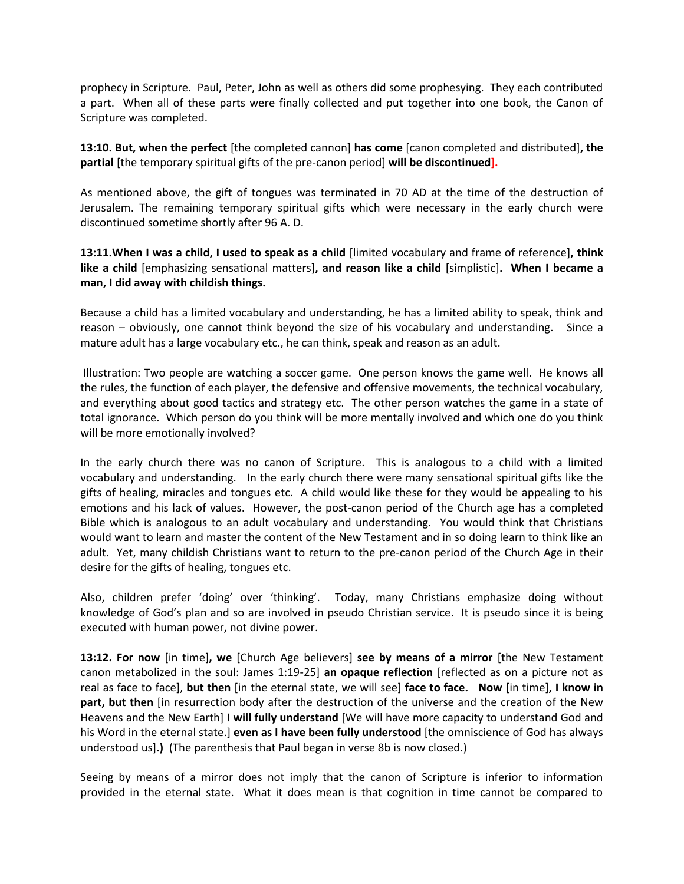prophecy in Scripture. Paul, Peter, John as well as others did some prophesying. They each contributed a part. When all of these parts were finally collected and put together into one book, the Canon of Scripture was completed.

**13:10. But, when the perfect** [the completed cannon] **has come** [canon completed and distributed]**, the partial** [the temporary spiritual gifts of the pre-canon period] **will be discontinued**]**.** 

As mentioned above, the gift of tongues was terminated in 70 AD at the time of the destruction of Jerusalem. The remaining temporary spiritual gifts which were necessary in the early church were discontinued sometime shortly after 96 A. D.

**13:11.When I was a child, I used to speak as a child** [limited vocabulary and frame of reference]**, think like a child** [emphasizing sensational matters]**, and reason like a child** [simplistic]**. When I became a man, I did away with childish things.** 

Because a child has a limited vocabulary and understanding, he has a limited ability to speak, think and reason – obviously, one cannot think beyond the size of his vocabulary and understanding. Since a mature adult has a large vocabulary etc., he can think, speak and reason as an adult.

Illustration: Two people are watching a soccer game. One person knows the game well. He knows all the rules, the function of each player, the defensive and offensive movements, the technical vocabulary, and everything about good tactics and strategy etc. The other person watches the game in a state of total ignorance. Which person do you think will be more mentally involved and which one do you think will be more emotionally involved?

In the early church there was no canon of Scripture. This is analogous to a child with a limited vocabulary and understanding. In the early church there were many sensational spiritual gifts like the gifts of healing, miracles and tongues etc. A child would like these for they would be appealing to his emotions and his lack of values. However, the post-canon period of the Church age has a completed Bible which is analogous to an adult vocabulary and understanding. You would think that Christians would want to learn and master the content of the New Testament and in so doing learn to think like an adult. Yet, many childish Christians want to return to the pre-canon period of the Church Age in their desire for the gifts of healing, tongues etc.

Also, children prefer 'doing' over 'thinking'. Today, many Christians emphasize doing without knowledge of God's plan and so are involved in pseudo Christian service. It is pseudo since it is being executed with human power, not divine power.

**13:12. For now** [in time]**, we** [Church Age believers] **see by means of a mirror** [the New Testament canon metabolized in the soul: James 1:19-25] **an opaque reflection** [reflected as on a picture not as real as face to face], **but then** [in the eternal state, we will see] **face to face. Now** [in time]**, I know in part, but then** [in resurrection body after the destruction of the universe and the creation of the New Heavens and the New Earth] **I will fully understand** [We will have more capacity to understand God and his Word in the eternal state.] **even as I have been fully understood** [the omniscience of God has always understood us]**.)** (The parenthesis that Paul began in verse 8b is now closed.)

Seeing by means of a mirror does not imply that the canon of Scripture is inferior to information provided in the eternal state. What it does mean is that cognition in time cannot be compared to